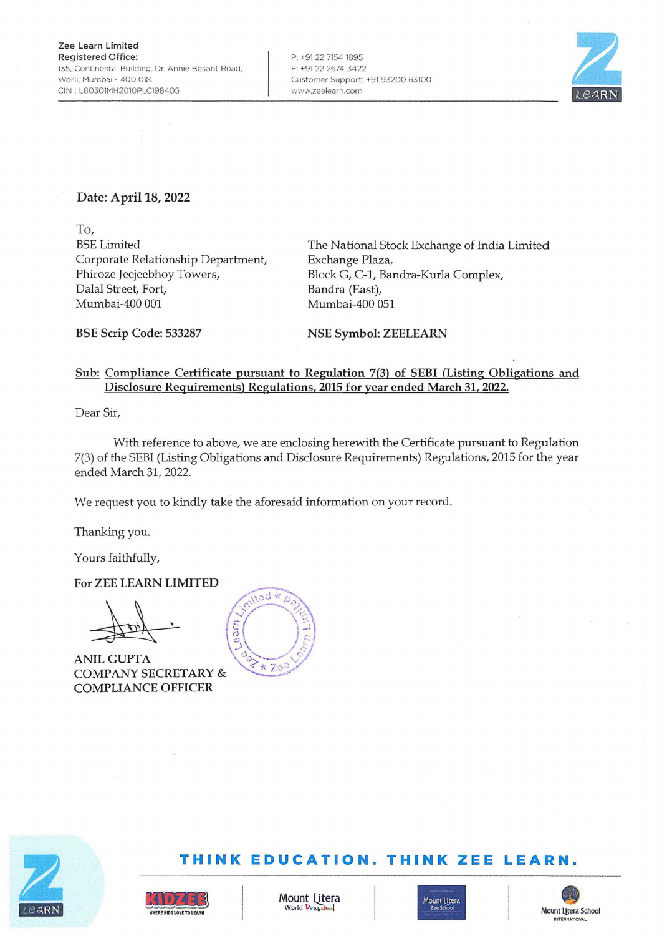P: +91 22 7154 1895 F: +91 22 2674 3422 Customer Support: +91. 93200 63100 www.zeelearn.com



## **Date: April 18, 2022**

**To,**  BSE Limited Corporate Relationship Department, Phiroze Jeejeebhoy Towers, Dalal Street, Fort, Mumbai-400 001

The National Stock Exchange of India Limited Exchange Plaza, Block G, C-1, Bandra-Kurla Complex, Bandra (East), Mumbai-400 051

**BSE Scrip Code: 533287** 

**NSE Symbol: ZEELEARN** 

## **Sub: Compliance Certificate pursuant to Regulation 7(3) of SEBI (Listing Obligations and Disclosure Requirements) Regulations, 2015 for year ended March 31, 2022.**

Dear Sir,

With reference to above, we are enclosing herewith the Certificate pursuant to Regulation 7(3) of the SEBI (Listing Obligations and Disclosure Requirements) Regulations, 2015 for the year ended March 31, 2022.

We request you to kindly take the aforesaid information on your record.

Thanking you.

Yours faithfully,

**For ZEE LEARN LIMITED** 

**L** 

**ANILGUPTA COMPANY SECRETARY** & **COMPLIANCE OFFICER** 





## **THINK EDUCATION. THINK ZEE LEARN.**



**WHERE KIDS LOVE TO LEARM** 

41*174*